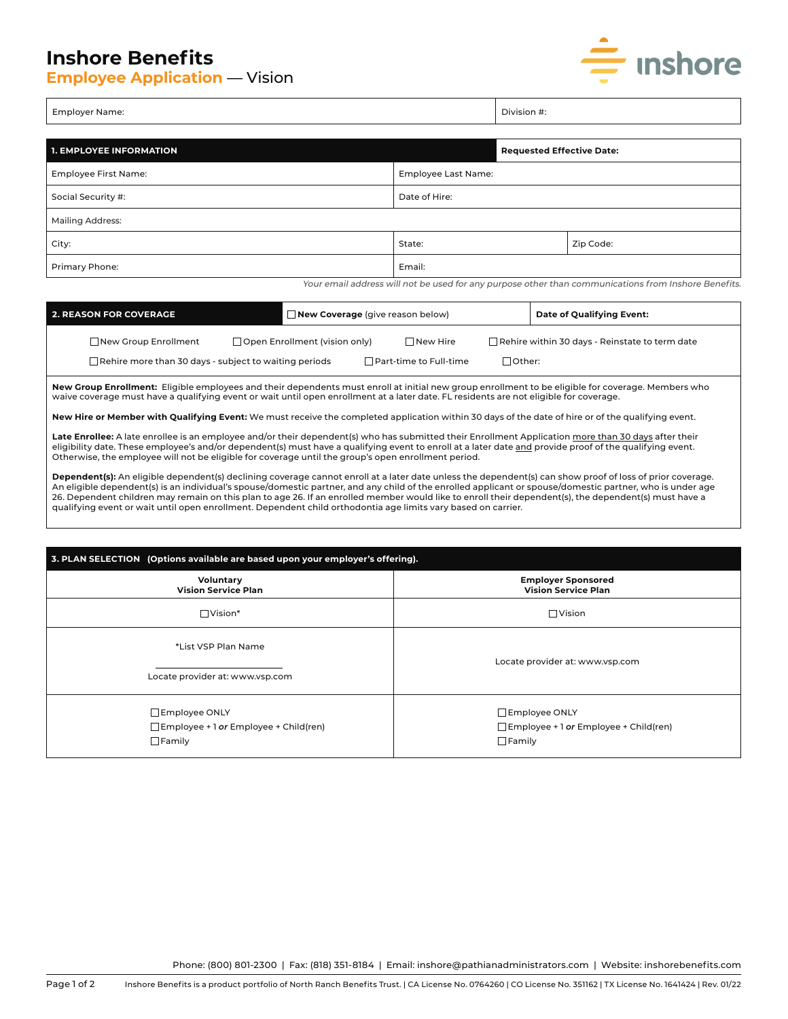## **Inshore Benefits**

**Employee Application** — Vision



| Employer Name: | $\neg$ vision $\ddot{}$ . |
|----------------|---------------------------|
|----------------|---------------------------|

| <b>1. EMPLOYEE INFORMATION</b> |                     |  | <b>Requested Effective Date:</b> |  |  |
|--------------------------------|---------------------|--|----------------------------------|--|--|
| Employee First Name:           | Employee Last Name: |  |                                  |  |  |
| Social Security #:             | Date of Hire:       |  |                                  |  |  |
| Mailing Address:               |                     |  |                                  |  |  |
| City:                          | State:              |  | Zip Code:                        |  |  |
| Primary Phone:                 | Email:              |  |                                  |  |  |

Your email address will not be used for any purpose other than communications from Inshore Benefits.

| <b>2. REASON FOR COVERAGE</b> |                                                              |  | $\Box$ New Coverage (give reason below)                   |  |                                                       | Date of Qualifying Event: |
|-------------------------------|--------------------------------------------------------------|--|-----------------------------------------------------------|--|-------------------------------------------------------|---------------------------|
|                               | New Group Enrollment                                         |  | $\Box$ Open Enrollment (vision only)<br>$\sqcap$ New Hire |  | $\Box$ Rehire within 30 days - Reinstate to term date |                           |
|                               | $\Box$ Rehire more than 30 days - subject to waiting periods |  | $\Box$ Part-time to Full-time                             |  | .∃Other:                                              |                           |

**New Group Enrollment:** Eligible employees and their dependents must enroll at initial new group enrollment to be eligible for coverage. Members who waive coverage must have a qualifying event or wait until open enrollment at a later date. FL residents are not eligible for coverage.

**New Hire or Member with Qualifying Event:** We must receive the completed application within 30 days of the date of hire or of the qualifying event.

Late Enrollee: A late enrollee is an employee and/or their dependent(s) who has submitted their Enrollment Application more than 30 days after their eligibility date. These employee's and/or dependent(s) must have a qualifying event to enroll at a later date and provide proof of the qualifying event. Otherwise, the employee will not be eligible for coverage until the group's open enrollment period.

**Dependent(s):** An eligible dependent(s) declining coverage cannot enroll at a later date unless the dependent(s) can show proof of loss of prior coverage. An eligible dependent(s) is an individual's spouse/domestic partner, and any child of the enrolled applicant or spouse/domestic partner, who is under age 26. Dependent children may remain on this plan to age 26. If an enrolled member would like to enroll their dependent(s), the dependent(s) must have a qualifying event or wait until open enrollment. Dependent child orthodontia age limits vary based on carrier.

| 3. PLAN SELECTION (Options available are based upon your employer's offering). |                                                                                |  |  |  |  |
|--------------------------------------------------------------------------------|--------------------------------------------------------------------------------|--|--|--|--|
| Voluntary<br><b>Vision Service Plan</b>                                        | <b>Employer Sponsored</b><br><b>Vision Service Plan</b>                        |  |  |  |  |
| $\Box$ Vision*                                                                 | $\Box$ Vision                                                                  |  |  |  |  |
| *List VSP Plan Name<br>Locate provider at: www.vsp.com                         | Locate provider at: www.vsp.com                                                |  |  |  |  |
| Employee ONLY<br>$\Box$ Employee + 1 or Employee + Child(ren)<br>$\Box$ Family | Employee ONLY<br>$\Box$ Employee + 1 or Employee + Child(ren)<br>$\Box$ Family |  |  |  |  |

Phone: (800) 801-2300 | Fax: (818) 351-8184 | Email: inshore@pathianadministrators.com | Website: inshorebenefits.com